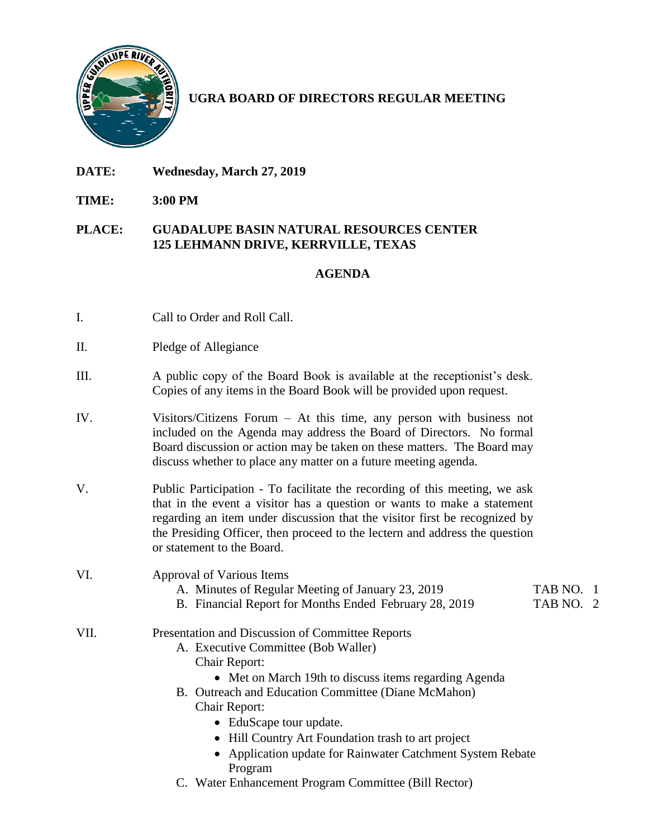

## **UGRA BOARD OF DIRECTORS REGULAR MEETING**

- **DATE: Wednesday, March 27, 2019**
- **TIME: 3:00 PM**

## **PLACE: GUADALUPE BASIN NATURAL RESOURCES CENTER 125 LEHMANN DRIVE, KERRVILLE, TEXAS**

## **AGENDA**

- I. Call to Order and Roll Call.
- II. Pledge of Allegiance
- III. A public copy of the Board Book is available at the receptionist's desk. Copies of any items in the Board Book will be provided upon request.
- IV. Visitors/Citizens Forum At this time, any person with business not included on the Agenda may address the Board of Directors. No formal Board discussion or action may be taken on these matters. The Board may discuss whether to place any matter on a future meeting agenda.
- V. Public Participation To facilitate the recording of this meeting, we ask that in the event a visitor has a question or wants to make a statement regarding an item under discussion that the visitor first be recognized by the Presiding Officer, then proceed to the lectern and address the question or statement to the Board.

VI. Approval of Various Items

- A. Minutes of Regular Meeting of January 23, 2019 TAB NO. 1
- B. Financial Report for Months Ended February 28, 2019 TAB NO. 2

- VII. Presentation and Discussion of Committee Reports
	- A. Executive Committee (Bob Waller)
		- Chair Report:
			- Met on March 19th to discuss items regarding Agenda
	- B. Outreach and Education Committee (Diane McMahon) Chair Report:
		- EduScape tour update.
		- Hill Country Art Foundation trash to art project
		- Application update for Rainwater Catchment System Rebate Program
	- C. Water Enhancement Program Committee (Bill Rector)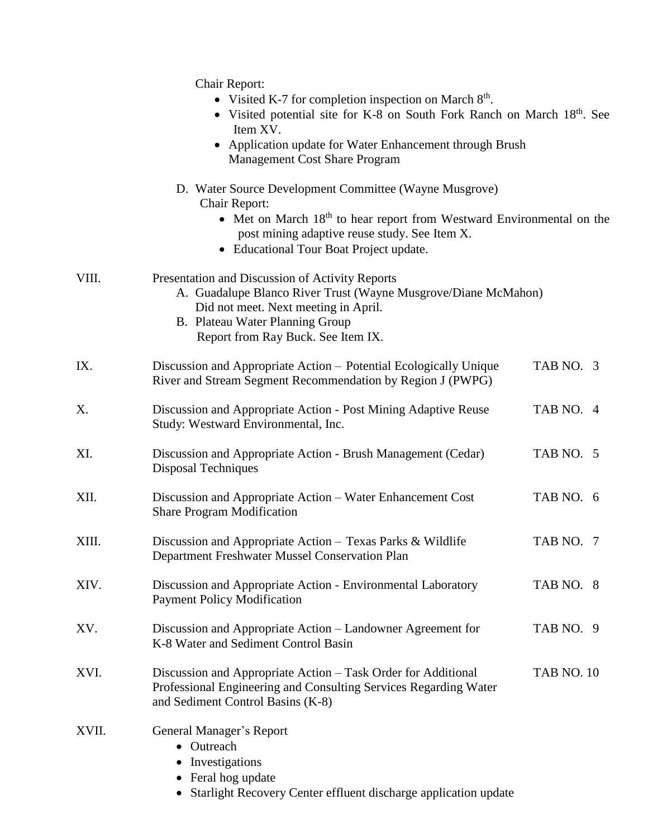|       | Chair Report:<br>• Visited K-7 for completion inspection on March $8th$ .<br>• Visited potential site for K-8 on South Fork Ranch on March 18th. See<br>Item XV.<br>Application update for Water Enhancement through Brush<br><b>Management Cost Share Program</b> |                   |  |
|-------|--------------------------------------------------------------------------------------------------------------------------------------------------------------------------------------------------------------------------------------------------------------------|-------------------|--|
|       | D. Water Source Development Committee (Wayne Musgrove)<br><b>Chair Report:</b><br>• Met on March 18 <sup>th</sup> to hear report from Westward Environmental on the<br>post mining adaptive reuse study. See Item X.<br>• Educational Tour Boat Project update.    |                   |  |
| VIII. | Presentation and Discussion of Activity Reports<br>A. Guadalupe Blanco River Trust (Wayne Musgrove/Diane McMahon)<br>Did not meet. Next meeting in April.<br>B. Plateau Water Planning Group<br>Report from Ray Buck. See Item IX.                                 |                   |  |
| IX.   | Discussion and Appropriate Action – Potential Ecologically Unique<br>River and Stream Segment Recommendation by Region J (PWPG)                                                                                                                                    | TAB NO. 3         |  |
| X.    | Discussion and Appropriate Action - Post Mining Adaptive Reuse<br>Study: Westward Environmental, Inc.                                                                                                                                                              | TAB NO. 4         |  |
| XI.   | Discussion and Appropriate Action - Brush Management (Cedar)<br><b>Disposal Techniques</b>                                                                                                                                                                         | TAB NO. 5         |  |
| XII.  | Discussion and Appropriate Action – Water Enhancement Cost<br><b>Share Program Modification</b>                                                                                                                                                                    | TAB NO. 6         |  |
| XIII. | Discussion and Appropriate Action – Texas Parks & Wildlife<br>Department Freshwater Mussel Conservation Plan                                                                                                                                                       | TAB NO. 7         |  |
| XIV.  | Discussion and Appropriate Action - Environmental Laboratory<br><b>Payment Policy Modification</b>                                                                                                                                                                 | TAB NO. 8         |  |
| XV.   | Discussion and Appropriate Action – Landowner Agreement for<br>K-8 Water and Sediment Control Basin                                                                                                                                                                | TAB NO. 9         |  |
| XVI.  | Discussion and Appropriate Action – Task Order for Additional<br>Professional Engineering and Consulting Services Regarding Water<br>and Sediment Control Basins (K-8)                                                                                             | <b>TAB NO. 10</b> |  |
| XVII. | General Manager's Report<br>• Outreach<br>Investigations<br>$\bullet$<br>Feral hog update<br>$\bullet$<br>Starlight Recovery Center effluent discharge application update                                                                                          |                   |  |